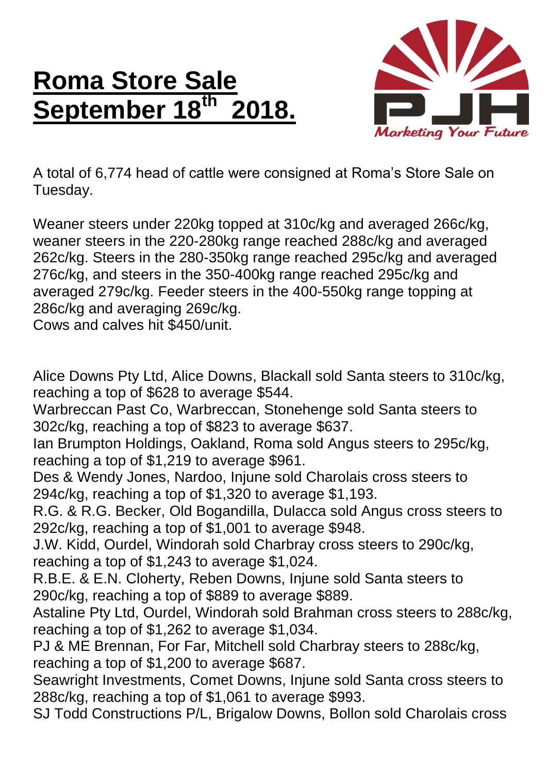## **Roma Store Sale September 18th 2018.**



A total of 6,774 head of cattle were consigned at Roma's Store Sale on Tuesday.

Weaner steers under 220kg topped at 310c/kg and averaged 266c/kg, weaner steers in the 220-280kg range reached 288c/kg and averaged 262c/kg. Steers in the 280-350kg range reached 295c/kg and averaged 276c/kg, and steers in the 350-400kg range reached 295c/kg and averaged 279c/kg. Feeder steers in the 400-550kg range topping at 286c/kg and averaging 269c/kg.

Cows and calves hit \$450/unit.

Alice Downs Pty Ltd, Alice Downs, Blackall sold Santa steers to 310c/kg, reaching a top of \$628 to average \$544.

Warbreccan Past Co, Warbreccan, Stonehenge sold Santa steers to 302c/kg, reaching a top of \$823 to average \$637.

Ian Brumpton Holdings, Oakland, Roma sold Angus steers to 295c/kg, reaching a top of \$1,219 to average \$961.

Des & Wendy Jones, Nardoo, Injune sold Charolais cross steers to 294c/kg, reaching a top of \$1,320 to average \$1,193.

R.G. & R.G. Becker, Old Bogandilla, Dulacca sold Angus cross steers to 292c/kg, reaching a top of \$1,001 to average \$948.

J.W. Kidd, Ourdel, Windorah sold Charbray cross steers to 290c/kg, reaching a top of \$1,243 to average \$1,024.

R.B.E. & E.N. Cloherty, Reben Downs, Injune sold Santa steers to 290c/kg, reaching a top of \$889 to average \$889.

Astaline Pty Ltd, Ourdel, Windorah sold Brahman cross steers to 288c/kg, reaching a top of \$1,262 to average \$1,034.

PJ & ME Brennan, For Far, Mitchell sold Charbray steers to 288c/kg, reaching a top of \$1,200 to average \$687.

Seawright Investments, Comet Downs, Injune sold Santa cross steers to 288c/kg, reaching a top of \$1,061 to average \$993.

SJ Todd Constructions P/L, Brigalow Downs, Bollon sold Charolais cross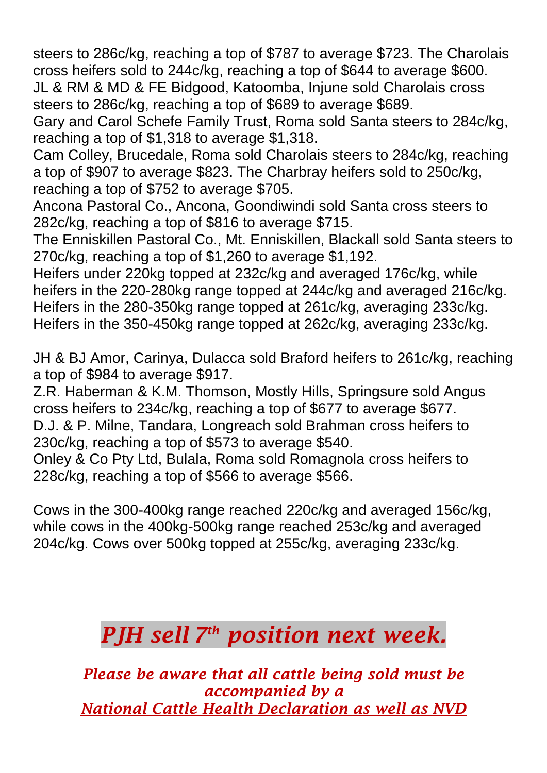steers to 286c/kg, reaching a top of \$787 to average \$723. The Charolais cross heifers sold to 244c/kg, reaching a top of \$644 to average \$600. JL & RM & MD & FE Bidgood, Katoomba, Injune sold Charolais cross

steers to 286c/kg, reaching a top of \$689 to average \$689.

Gary and Carol Schefe Family Trust, Roma sold Santa steers to 284c/kg, reaching a top of \$1,318 to average \$1,318.

Cam Colley, Brucedale, Roma sold Charolais steers to 284c/kg, reaching a top of \$907 to average \$823. The Charbray heifers sold to 250c/kg, reaching a top of \$752 to average \$705.

Ancona Pastoral Co., Ancona, Goondiwindi sold Santa cross steers to 282c/kg, reaching a top of \$816 to average \$715.

The Enniskillen Pastoral Co., Mt. Enniskillen, Blackall sold Santa steers to 270c/kg, reaching a top of \$1,260 to average \$1,192.

Heifers under 220kg topped at 232c/kg and averaged 176c/kg, while heifers in the 220-280kg range topped at 244c/kg and averaged 216c/kg. Heifers in the 280-350kg range topped at 261c/kg, averaging 233c/kg. Heifers in the 350-450kg range topped at 262c/kg, averaging 233c/kg.

JH & BJ Amor, Carinya, Dulacca sold Braford heifers to 261c/kg, reaching a top of \$984 to average \$917.

Z.R. Haberman & K.M. Thomson, Mostly Hills, Springsure sold Angus cross heifers to 234c/kg, reaching a top of \$677 to average \$677. D.J. & P. Milne, Tandara, Longreach sold Brahman cross heifers to

230c/kg, reaching a top of \$573 to average \$540.

Onley & Co Pty Ltd, Bulala, Roma sold Romagnola cross heifers to 228c/kg, reaching a top of \$566 to average \$566.

Cows in the 300-400kg range reached 220c/kg and averaged 156c/kg, while cows in the 400kg-500kg range reached 253c/kg and averaged 204c/kg. Cows over 500kg topped at 255c/kg, averaging 233c/kg.

## *PJH sell 7 th position next week.*

*Please be aware that all cattle being sold must be accompanied by a National Cattle Health Declaration as well as NVD*